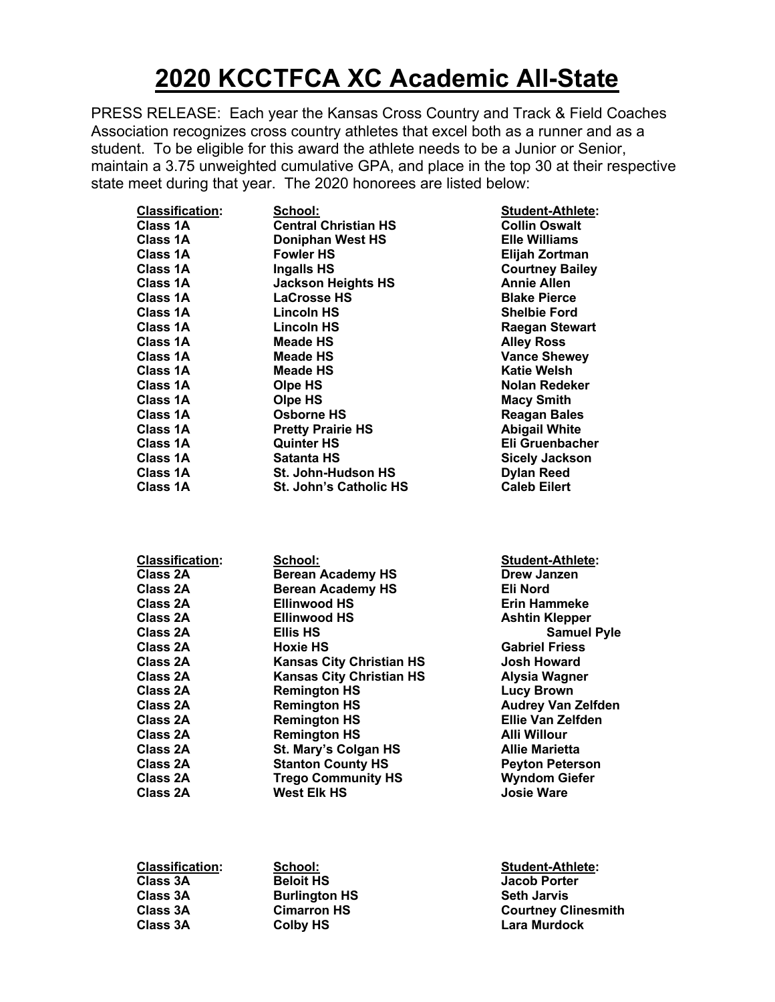## **2020 KCCTFCA XC Academic All-State**

PRESS RELEASE: Each year the Kansas Cross Country and Track & Field Coaches Association recognizes cross country athletes that excel both as a runner and as a student. To be eligible for this award the athlete needs to be a Junior or Senior, maintain a 3.75 unweighted cumulative GPA, and place in the top 30 at their respective state meet during that year. The 2020 honorees are listed below:

| <b>Classification:</b> | School:                       | <b>Student-Athlete:</b> |
|------------------------|-------------------------------|-------------------------|
| Class 1A               | <b>Central Christian HS</b>   | <b>Collin Oswalt</b>    |
| Class 1A               | <b>Doniphan West HS</b>       | <b>Elle Williams</b>    |
| Class 1A               | <b>Fowler HS</b>              | Elijah Zortman          |
| Class 1A               | <b>Ingalls HS</b>             | <b>Courtney Bailey</b>  |
| Class 1A               | <b>Jackson Heights HS</b>     | <b>Annie Allen</b>      |
| Class 1A               | <b>LaCrosse HS</b>            | <b>Blake Pierce</b>     |
| Class 1A               | Lincoln HS                    | <b>Shelbie Ford</b>     |
| Class 1A               | <b>Lincoln HS</b>             | <b>Raegan Stewart</b>   |
| Class 1A               | <b>Meade HS</b>               | <b>Alley Ross</b>       |
| <b>Class 1A</b>        | Meade HS                      | <b>Vance Shewey</b>     |
| Class 1A               | <b>Meade HS</b>               | <b>Katie Welsh</b>      |
| Class 1A               | Olpe HS                       | Nolan Redeker           |
| Class 1A               | Olpe HS                       | <b>Macy Smith</b>       |
| Class 1A               | Osborne HS                    | <b>Reagan Bales</b>     |
| Class 1A               | <b>Pretty Prairie HS</b>      | <b>Abigail White</b>    |
| <b>Class 1A</b>        | <b>Quinter HS</b>             | Eli Gruenbacher         |
| Class 1A               | Satanta HS                    | <b>Sicely Jackson</b>   |
| <b>Class 1A</b>        | <b>St. John-Hudson HS</b>     | <b>Dylan Reed</b>       |
| <b>Class 1A</b>        | <b>St. John's Catholic HS</b> | <b>Caleb Eilert</b>     |
|                        |                               |                         |

| Student-Athlete:<br><b>Collin Oswalt</b> |
|------------------------------------------|
| <b>Elle Williams</b>                     |
| Elijah Zortman                           |
| <b>Courtney Bailey</b>                   |
| <b>Annie Allen</b>                       |
| <b>Blake Pierce</b>                      |
| <b>Shelbie Ford</b>                      |
| Raegan Stewart                           |
| <b>Alley Ross</b>                        |
| <b>Vance Shewey</b>                      |
| Katie Welsh                              |
| Nolan Redeker                            |
| <b>Macy Smith</b>                        |
| <b>Reagan Bales</b>                      |
| <b>Abigail White</b>                     |
| Eli Gruenbacher                          |
| <b>Sicely Jackson</b>                    |
|                                          |
| <b>Dylan Reed</b>                        |
| <b>Caleb Eilert</b>                      |

| <b>Classification:</b> | School:                         | <b>Student-Athlete:</b>   |
|------------------------|---------------------------------|---------------------------|
| Class 2A               | <b>Berean Academy HS</b>        | Drew Janzen               |
| Class 2A               | <b>Berean Academy HS</b>        | Eli Nord                  |
| Class 2A               | <b>Ellinwood HS</b>             | <b>Erin Hammeke</b>       |
| Class 2A               | <b>Ellinwood HS</b>             | <b>Ashtin Klepper</b>     |
| Class 2A               | <b>Ellis HS</b>                 | <b>Samuel Pyle</b>        |
| Class 2A               | Hoxie HS                        | <b>Gabriel Friess</b>     |
| Class 2A               | <b>Kansas City Christian HS</b> | <b>Josh Howard</b>        |
| <b>Class 2A</b>        | <b>Kansas City Christian HS</b> | <b>Alysia Wagner</b>      |
| Class 2A               | <b>Remington HS</b>             | <b>Lucy Brown</b>         |
| Class 2A               | <b>Remington HS</b>             | <b>Audrey Van Zelfden</b> |
| <b>Class 2A</b>        | <b>Remington HS</b>             | <b>Ellie Van Zelfden</b>  |
| Class 2A               | <b>Remington HS</b>             | <b>Alli Willour</b>       |
| <b>Class 2A</b>        | St. Mary's Colgan HS            | <b>Allie Marietta</b>     |
| <b>Class 2A</b>        | <b>Stanton County HS</b>        | <b>Peyton Peterson</b>    |
| Class 2A               | <b>Trego Community HS</b>       | <b>Wyndom Giefer</b>      |
| Class 2A               | <b>West Elk HS</b>              | <b>Josie Ware</b>         |
|                        |                                 |                           |

| Classification: | School:              | <b>Student-Athlete:</b>    |
|-----------------|----------------------|----------------------------|
| <b>Class 3A</b> | <b>Beloit HS</b>     | <b>Jacob Porter</b>        |
| <b>Class 3A</b> | <b>Burlington HS</b> | <b>Seth Jarvis</b>         |
| <b>Class 3A</b> | <b>Cimarron HS</b>   | <b>Courtney Clinesmith</b> |
| <b>Class 3A</b> | Colby HS             | <b>Lara Murdock</b>        |
|                 |                      |                            |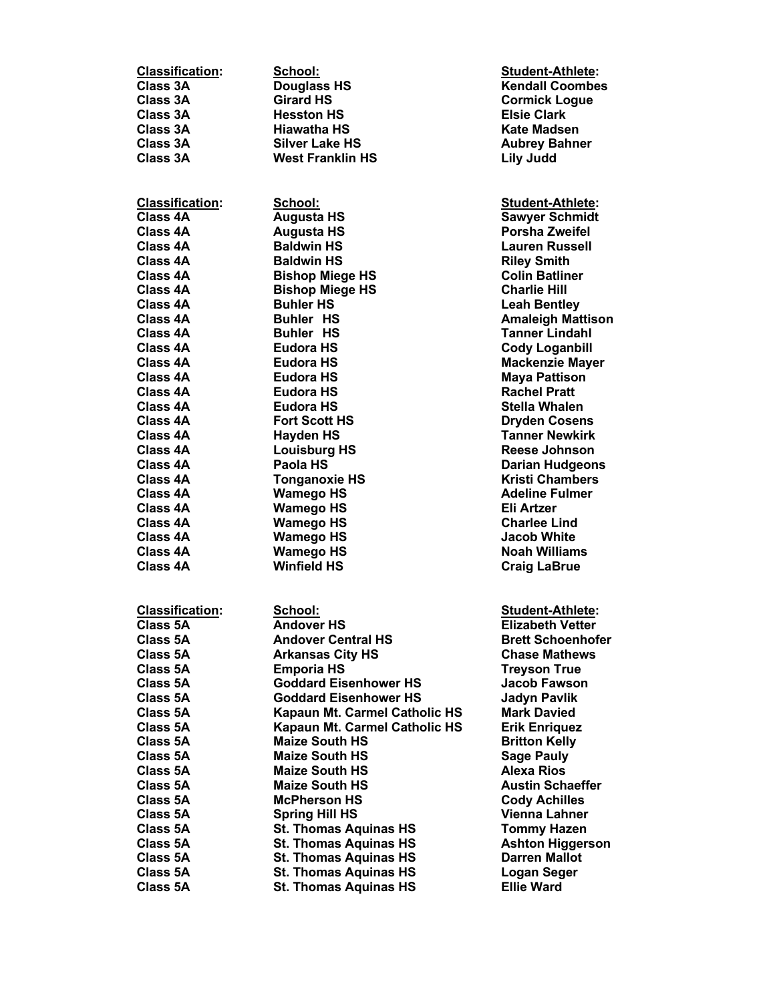| <b>Classification:</b> | School:                                | <b>Student-Athlete:</b>                     |
|------------------------|----------------------------------------|---------------------------------------------|
| <b>Class 3A</b>        | <b>Douglass HS</b>                     | <b>Kendall Coombes</b>                      |
| <b>Class 3A</b>        | <b>Girard HS</b>                       | <b>Cormick Logue</b>                        |
| Class 3A               | <b>Hesston HS</b>                      | <b>Elsie Clark</b>                          |
| Class 3A               | Hiawatha HS                            | Kate Madsen                                 |
| Class 3A               | <b>Silver Lake HS</b>                  | <b>Aubrey Bahner</b>                        |
| <b>Class 3A</b>        | <b>West Franklin HS</b>                | Lily Judd                                   |
|                        |                                        |                                             |
| <b>Classification:</b> | School:                                | <b>Student-Athlete:</b>                     |
| <b>Class 4A</b>        | <b>Augusta HS</b>                      | <b>Sawyer Schmidt</b>                       |
| Class 4A               | <b>Augusta HS</b>                      | <b>Porsha Zweifel</b>                       |
| <b>Class 4A</b>        | <b>Baldwin HS</b>                      | <b>Lauren Russell</b>                       |
| Class 4A               | <b>Baldwin HS</b>                      | <b>Riley Smith</b>                          |
| Class 4A               | <b>Bishop Miege HS</b>                 | <b>Colin Batliner</b>                       |
| Class 4A               | <b>Bishop Miege HS</b>                 | <b>Charlie Hill</b>                         |
| Class 4A               | <b>Buhler HS</b>                       | <b>Leah Bentley</b>                         |
| Class 4A               | <b>Buhler HS</b>                       | <b>Amaleigh Mattison</b>                    |
| <b>Class 4A</b>        | <b>Buhler HS</b>                       | <b>Tanner Lindahl</b>                       |
| Class 4A               | <b>Eudora HS</b>                       | <b>Cody Loganbill</b>                       |
| Class 4A               | <b>Eudora HS</b>                       | <b>Mackenzie Mayer</b>                      |
| Class 4A               | <b>Eudora HS</b>                       | <b>Maya Pattison</b>                        |
| Class 4A               | Eudora HS                              | <b>Rachel Pratt</b>                         |
| Class 4A               | Eudora HS                              | Stella Whalen                               |
| Class 4A               | <b>Fort Scott HS</b>                   | <b>Dryden Cosens</b>                        |
| Class 4A               | <b>Hayden HS</b>                       | <b>Tanner Newkirk</b>                       |
| Class 4A               | <b>Louisburg HS</b>                    | <b>Reese Johnson</b>                        |
| Class 4A               | Paola HS                               | <b>Darian Hudgeons</b>                      |
| Class 4A               | <b>Tonganoxie HS</b>                   | <b>Kristi Chambers</b>                      |
| Class 4A               | <b>Wamego HS</b>                       | <b>Adeline Fulmer</b>                       |
| Class 4A               | <b>Wamego HS</b>                       | Eli Artzer                                  |
| Class 4A               | <b>Wamego HS</b>                       | <b>Charlee Lind</b>                         |
| Class 4A<br>Class 4A   | <b>Wamego HS</b>                       | <b>Jacob White</b>                          |
| Class 4A               | <b>Wamego HS</b><br><b>Winfield HS</b> | <b>Noah Williams</b><br><b>Craig LaBrue</b> |
|                        |                                        |                                             |
| <b>Classification:</b> | School:                                | Student-Athlete:                            |
| <b>Class 5A</b>        | <b>Andover HS</b>                      | <b>Elizabeth Vetter</b>                     |
| <b>Class 5A</b>        | <b>Andover Central HS</b>              | <b>Brett Schoenhofer</b>                    |
| Class 5A               | <b>Arkansas City HS</b>                | <b>Chase Mathews</b>                        |
| Class 5A               | <b>Emporia HS</b>                      | <b>Treyson True</b>                         |
| Class 5A               | <b>Goddard Eisenhower HS</b>           | Jacob Fawson                                |
| Class 5A               | <b>Goddard Eisenhower HS</b>           | Jadyn Pavlik                                |
| Class 5A               | Kapaun Mt. Carmel Catholic HS          | <b>Mark Davied</b>                          |
| Class 5A               | Kapaun Mt. Carmel Catholic HS          | <b>Erik Enriguez</b>                        |
| Class 5A               | <b>Maize South HS</b>                  | <b>Britton Kelly</b>                        |
| <b>Class 5A</b>        | <b>Maize South HS</b>                  | <b>Sage Pauly</b>                           |
| Class 5A               | <b>Maize South HS</b>                  | Alexa Rios                                  |
| Class 5A               | <b>Maize South HS</b>                  | <b>Austin Schaeffer</b>                     |
| Class 5A               | <b>McPherson HS</b>                    | <b>Cody Achilles</b>                        |
| Class 5A               | <b>Spring Hill HS</b>                  | Vienna Lahner                               |
| Class 5A               | <b>St. Thomas Aquinas HS</b>           | <b>Tommy Hazen</b>                          |
| <b>Class 5A</b>        | <b>St. Thomas Aquinas HS</b>           | <b>Ashton Higgerson</b>                     |
| Class 5A               | <b>St. Thomas Aquinas HS</b>           | <b>Darren Mallot</b>                        |
| Class 5A               | <b>St. Thomas Aquinas HS</b>           | <b>Logan Seger</b>                          |
| <b>Class 5A</b>        | <b>St. Thomas Aquinas HS</b>           | <b>Ellie Ward</b>                           |